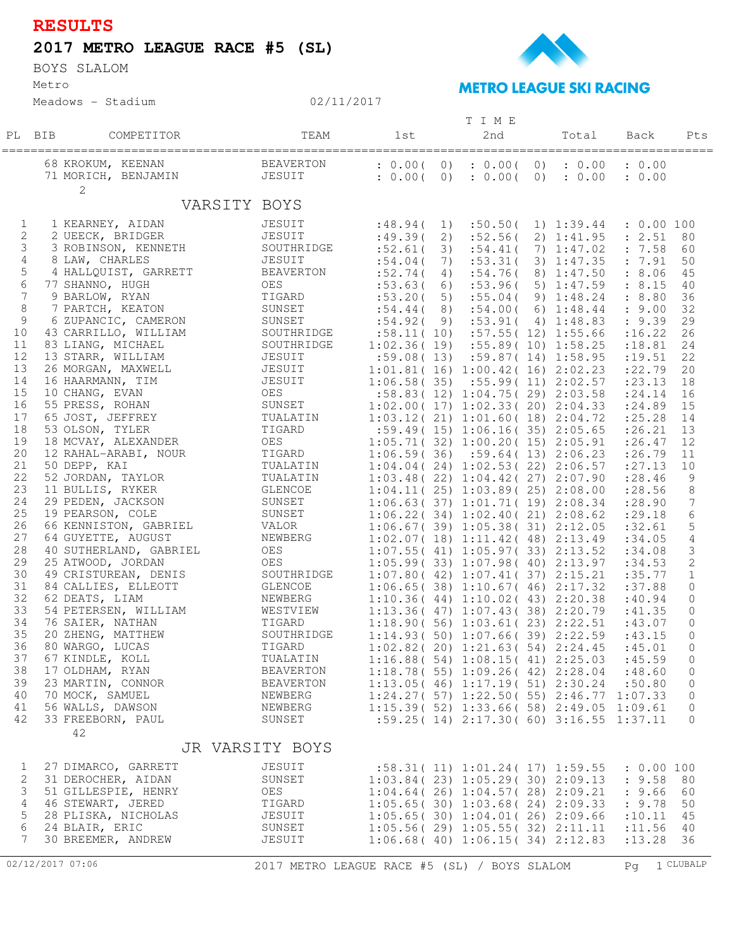## **RESULTS**

## **2017 METRO LEAGUE RACE #5 (SL)**

Metro BOYS SLALOM





## 02/11/2017

|                  |        |                        |                                              |                                                 |                                  | TIME                                           |     |                        |                                 |                |
|------------------|--------|------------------------|----------------------------------------------|-------------------------------------------------|----------------------------------|------------------------------------------------|-----|------------------------|---------------------------------|----------------|
|                  | PL BIB | COMPETITOR             | TEAM                                         | 1st                                             |                                  | 2nd                                            |     | Total                  | Back                            | Pts            |
|                  |        |                        |                                              |                                                 |                                  |                                                |     |                        | =============================== |                |
|                  |        |                        |                                              |                                                 |                                  |                                                |     |                        |                                 |                |
|                  |        | 68 KROKUM, KEENAN      | BEAVERTON                                    | : 0.00(                                         |                                  | $0)$ : $0.00$ (                                |     | $0)$ : $0.00$ : $0.00$ |                                 |                |
|                  |        | 71 MORICH, BENJAMIN    | JESUIT                                       | : 0.00(                                         | $\begin{array}{c} 0 \end{array}$ | : 0.00(                                        | (0) |                        | : 0.00 : 0.00                   |                |
|                  |        | $\mathbf{2}$           |                                              |                                                 |                                  |                                                |     |                        |                                 |                |
|                  |        | VARSITY BOYS           |                                              |                                                 |                                  |                                                |     |                        |                                 |                |
|                  |        |                        |                                              |                                                 |                                  |                                                |     |                        |                                 |                |
| $\mathbf{1}$     |        | 1 KEARNEY, AIDAN       | JESUIT                                       | :48.94(                                         |                                  | $1)$ : 50.50(                                  |     |                        | $1)$ 1:39.44 : 0.00 100         |                |
| $\mathbf{2}$     |        | 2 UEECK, BRIDGER       | JESUIT                                       | $:49.39(2)$ $:52.56($                           |                                  |                                                |     |                        | 2) 1:41.95 : 2.51 80            |                |
| 3                |        | 3 ROBINSON, KENNETH    | SOUTHRIDGE                                   | $:52.61(3)$ $:54.41(7)$ $1:47.02$ $: 7.58$      |                                  |                                                |     |                        |                                 | 60             |
| 4                |        | 8 LAW, CHARLES         | JESUIT                                       | :54.04(                                         |                                  | 7) :53.31(                                     |     |                        | $3)$ 1:47.35 : 7.91             | 50             |
| 5                |        | 4 HALLQUIST, GARRETT   | BEAVERTON                                    | :52.74(                                         |                                  | 4) :54.76 (8) 1:47.50 : 8.06                   |     |                        |                                 | 45             |
| 6                |        | 77 SHANNO, HUGH        | OES                                          | $:53.63(6)$ $:53.96(5)$ $1:47.59$               |                                  |                                                |     |                        | : 8.15                          | 40             |
| $\overline{7}$   |        | 9 BARLOW, RYAN         | TIGARD                                       | :53.20(                                         |                                  | 5) $:55.04($                                   |     | 9) 1:48.24             | : 8.80                          | 36             |
| 8                |        | 7 PARTCH, KEATON       | SUNSET                                       | $:54.44(8)$ $:54.00(6)$ 1:48.44 $: 9.00$        |                                  |                                                |     |                        |                                 | 32             |
| 9                |        | 6 ZUPANCIC, CAMERON    | SUNSET                                       | $:54.92(9)$ $:53.91(4)$ $1:48.83$ $: 9.39$      |                                  |                                                |     |                        |                                 | 29             |
| 10               |        | 43 CARRILLO, WILLIAM   | SOUTHRIDGE                                   | $:58.11(10)$ $:57.55(12)$ $1:55.66$             |                                  |                                                |     |                        | : 16.22                         | 26             |
| 11               |        | 83 LIANG, MICHAEL      | SOUTHRIDGE                                   | $1:02.36(19)$ $:55.89(10)$ $1:58.25$            |                                  |                                                |     |                        | : 18.81                         | 24             |
| 12               |        | 13 STARR, WILLIAM      | JESUIT                                       | $:59.08(13)$ $:59.87(14)$ $1:58.95$ $:19.51$    |                                  |                                                |     |                        |                                 | 22             |
| 13               |        | 26 MORGAN, MAXWELL     | JESUIT                                       | 1:01.81(16)1:00.42(16)2:02.23                   |                                  |                                                |     |                        | : 22.79                         | 20             |
| 14               |        | 16 HAARMANN, TIM       | JESUIT                                       | $1:06.58(35)$ $:55.99(11)$ $2:02.57$            |                                  |                                                |     |                        | : 23.13                         | 18             |
| 15               |        | 10 CHANG, EVAN         | OES                                          | :58.83(12)1:04.75(29)2:03.58                    |                                  |                                                |     |                        | : 24.14                         | 16             |
| 16               |        | 55 PRESS, ROHAN        | SUNSET                                       | $1:02.00(17)$ $1:02.33(20)$ $2:04.33$           |                                  |                                                |     |                        | : 24.89                         | 15             |
| 17               |        | 65 JOST, JEFFREY       | TUALATIN                                     | 1:03.12(21)1:01.60(18)2:04.72                   |                                  |                                                |     |                        | : 25.28                         | 14             |
| 18               |        | 53 OLSON, TYLER        | TIGARD                                       | $:59.49($ 15) 1:06.16(35) 2:05.65               |                                  |                                                |     |                        | : 26.21                         | 13             |
| 19               |        | 18 MCVAY, ALEXANDER    | OES                                          | 1:05.71(32)1:00.20(15)2:05.91                   |                                  |                                                |     |                        | : 26.47                         | 12             |
| 20               |        | 12 RAHAL-ARABI, NOUR   | TIGARD                                       | 1:06.59(36)                                     |                                  | :59.64(13)2:06.23                              |     |                        | : 26.79                         | 11             |
| 21               |        | 50 DEPP, KAI           | TUALATIN                                     | $1:04.04(24)$ $1:02.53(22)$ $2:06.57$           |                                  |                                                |     |                        | : 27.13                         | 10             |
| 22               |        | 52 JORDAN, TAYLOR      | TUALATIN                                     | 1:03.48(22)1:04.42(27)2:07.90                   |                                  |                                                |     |                        | : 28.46                         | 9              |
| 23               |        | 11 BULLIS, RYKER       | GLENCOE                                      | 1:04.11(25)1:03.89(25)2:08.00                   |                                  |                                                |     |                        | :28.56                          | 8              |
| 24               |        | 29 PEDEN, JACKSON      | SUNSET                                       | $1:06.63(37)$ $1:01.71(19)$ $2:08.34$           |                                  |                                                |     |                        | : 28.90                         | $\overline{7}$ |
| 25               |        | 19 PEARSON, COLE       | SUNSET                                       | $1:06.22(34)$ $1:02.40(21)$ $2:08.62$           |                                  |                                                |     |                        | : 29.18                         | 6              |
| 26               |        | 66 KENNISTON, GABRIEL  | VALOR                                        | 1:06.67(39)1:05.38(31)2:12.05                   |                                  |                                                |     |                        | :32.61                          | 5              |
| 27               |        | 64 GUYETTE, AUGUST     | NEWBERG                                      | 1:02.07(18) 1:11.42(48) 2:13.49                 |                                  |                                                |     |                        | :34.05                          | $\sqrt{4}$     |
| 28               |        | 40 SUTHERLAND, GABRIEL | OES                                          | 1:07.55(41)1:05.97(33)2:13.52                   |                                  |                                                |     |                        | :34.08                          | 3              |
| 29               |        | 25 ATWOOD, JORDAN      | OES                                          | 1:05.99(33)1:07.98(40)2:13.97                   |                                  |                                                |     |                        | :34.53                          | $\mathbf{2}$   |
| 30               |        | 49 CRISTUREAN, DENIS   | SOUTHRIDGE                                   | 1:07.80(42)1:07.41(37)2:15.21                   |                                  |                                                |     |                        | : 35.77                         | $\mathbf 1$    |
| 31               |        | 84 CALLIES, ELLEOTT    | GLENCOE                                      | 1:06.65(38) 1:10.67(46) 2:17.32                 |                                  |                                                |     |                        | :37.88                          | $\circ$        |
| 32               |        | 62 DEATS, LIAM         | NEWBERG                                      | 1:10.36(44)1:10.02(43)2:20.38                   |                                  |                                                |     |                        | :40.94                          | 0              |
| 33               |        | 54 PETERSEN, WILLIAM   | WESTVIEW                                     | 1:13.36(47)1:07.43(38)2:20.79                   |                                  |                                                |     |                        | :41.35                          | 0              |
| 34               |        | 76 SAIER, NATHAN       | TIGARD                                       | 1:18.90(56)1:03.61(23)2:22.51                   |                                  |                                                |     |                        | :43.07                          | 0              |
| 35               |        | 20 ZHENG, MATTHEW      | SOUTHRIDGE                                   | 1:14.93(50)1:07.66(39)2:22.59                   |                                  |                                                |     |                        | :43.15                          | $\circ$        |
| 36               |        | 80 WARGO, LUCAS        | TIGARD                                       | $1:02.82(20)$ $1:21.63(54)$ $2:24.45$           |                                  |                                                |     |                        | :45.01                          | 0              |
| 37               |        | 67 KINDLE, KOLL        | TUALATIN                                     | 1:16.88(54)1:08.15(41)2:25.03                   |                                  |                                                |     |                        | :45.59                          | 0              |
| 38               |        | 17 OLDHAM, RYAN        | <b>BEAVERTON</b>                             | 1:18.78(55) 1:09.26(42) 2:28.04                 |                                  |                                                |     |                        | :48.60                          | 0              |
| 39               |        | 23 MARTIN, CONNOR      | <b>BEAVERTON</b>                             | 1:13.05(46)1:17.19(51)2:30.24                   |                                  |                                                |     |                        | :50.80                          | 0              |
| 40               |        | 70 MOCK, SAMUEL        | NEWBERG                                      | $1:24.27(57)$ $1:22.50(55)$ $2:46.77$ $1:07.33$ |                                  |                                                |     |                        |                                 | 0              |
| 41               |        | 56 WALLS, DAWSON       | NEWBERG                                      | 1:15.39(52) 1:33.66(58) 2:49.05                 |                                  |                                                |     |                        | 1:09.61                         | 0              |
| 42               |        | 33 FREEBORN, PAUL      | SUNSET                                       |                                                 |                                  | $:59.25(14)$ $2:17.30(60)$ $3:16.55$ $1:37.11$ |     |                        |                                 | $\mathbf 0$    |
|                  |        | 42                     |                                              |                                                 |                                  |                                                |     |                        |                                 |                |
|                  |        | JR VARSITY BOYS        |                                              |                                                 |                                  |                                                |     |                        |                                 |                |
|                  |        |                        |                                              |                                                 |                                  |                                                |     |                        |                                 |                |
| 1                |        | 27 DIMARCO, GARRETT    | JESUIT                                       | :58.31(11) 1:01.24(17) 1:59.55                  |                                  |                                                |     |                        | : 0.00 100                      |                |
| 2                |        | 31 DEROCHER, AIDAN     | SUNSET                                       | $1:03.84(23)$ $1:05.29(30)$ $2:09.13$           |                                  |                                                |     |                        | : 9.58                          | 80             |
| 3                |        | 51 GILLESPIE, HENRY    | OES                                          | 1:04.64(26)1:04.57(28)2:09.21                   |                                  |                                                |     |                        | : 9.66                          | 60             |
| 4                |        | 46 STEWART, JERED      | TIGARD                                       | 1:05.65(30) 1:03.68(24) 2:09.33                 |                                  |                                                |     |                        | : 9.78                          | 50             |
| 5                |        | 28 PLISKA, NICHOLAS    | JESUIT                                       | 1:05.65(30) 1:04.01(26) 2:09.66                 |                                  |                                                |     |                        | : 10.11                         | 45             |
| 6                |        | 24 BLAIR, ERIC         | SUNSET                                       | $1:05.56(29)$ $1:05.55(32)$ $2:11.11$           |                                  |                                                |     |                        | : 11.56                         | 40             |
| $7^{\circ}$      |        | 30 BREEMER, ANDREW     | JESUIT                                       | 1:06.68(40) 1:06.15(34) 2:12.83                 |                                  |                                                |     |                        | : 13.28                         | 36             |
|                  |        |                        |                                              |                                                 |                                  |                                                |     |                        |                                 |                |
| 02/12/2017 07:06 |        |                        | 2017 METRO LEAGUE RACE #5 (SL) / BOYS SLALOM |                                                 |                                  |                                                |     |                        | Pq                              | 1 CLUBALP      |